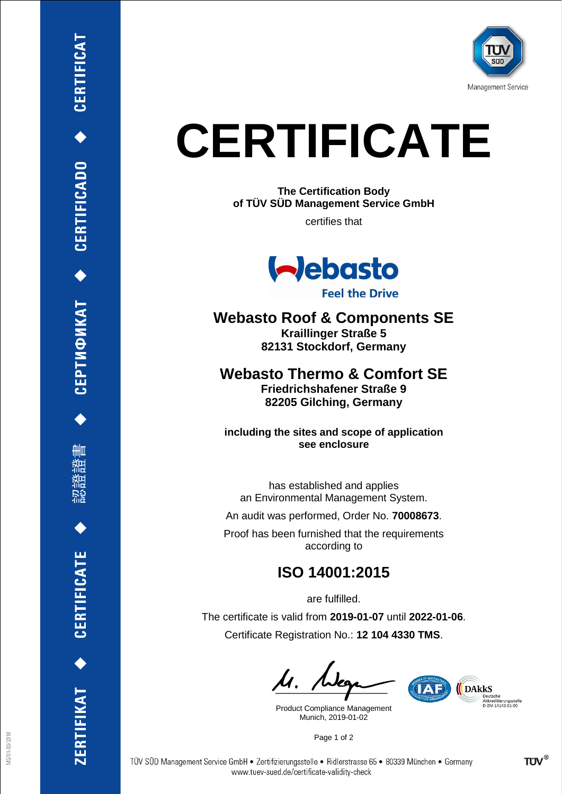

## **CERTIFICATE**

**The Certification Body of TÜV SÜD Management Service GmbH**

certifies that



**Feel the Drive** 

**Webasto Roof & Components SE Kraillinger Straße 5 82131 Stockdorf, Germany**

**Webasto Thermo & Comfort SE Friedrichshafener Straße 9 82205 Gilching, Germany**

**including the sites and scope of application see enclosure**

has established and applies an Environmental Management System.

An audit was performed, Order No. **70008673**.

Proof has been furnished that the requirements according to

## **ISO 14001:2015**

are fulfilled. The certificate is valid from **2019-01-07** until **2022-01-06**. Certificate Registration No.: **12 104 4330 TMS**.

Product Compliance Management Munich, 2019-01-02



Page 1 of 2